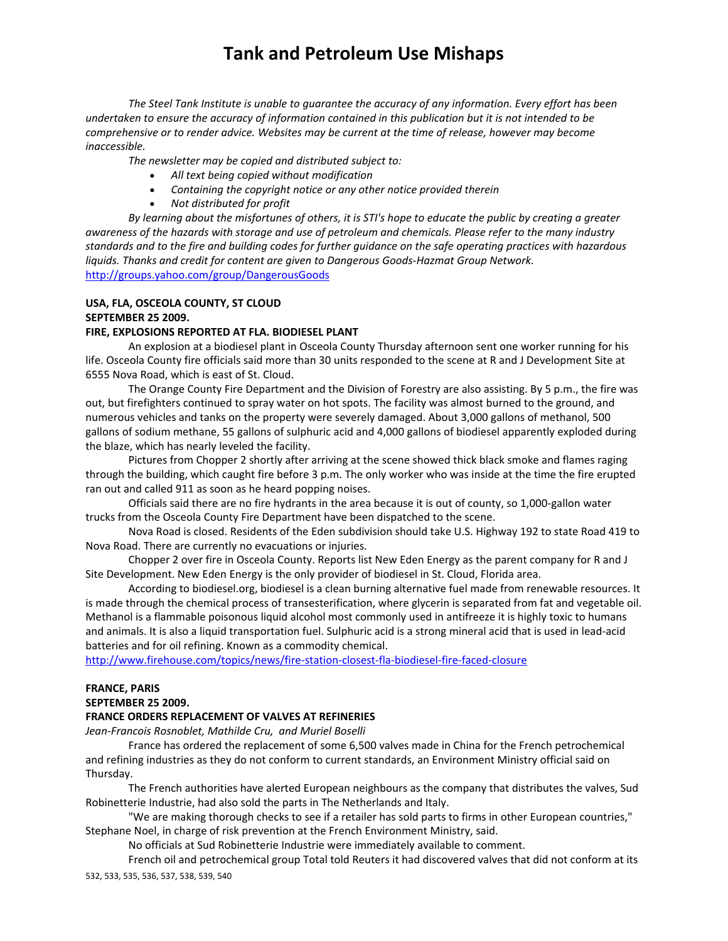*The Steel Tank Institute is unable to guarantee the accuracy of any information. Every effort has been* undertaken to ensure the accuracy of information contained in this publication but it is not intended to be *comprehensive or to render advice. Websites may be current at the time of release, however may become inaccessible.*

*The newsletter may be copied and distributed subject to:*

- *All text being copied without modification*
- *Containing the copyright notice or any other notice provided therein*
- *Not distributed for profit*

By learning about the misfortunes of others, it is STI's hope to educate the public by creating a greater awareness of the hazards with storage and use of petroleum and chemicals. Please refer to the many industry standards and to the fire and building codes for further guidance on the safe operating practices with hazardous *liquids. Thanks and credit for content are given to Dangerous Goods‐Hazmat Group Network.*  http://groups.yahoo.com/group/DangerousGoods

## **USA, FLA, OSCEOLA COUNTY, ST CLOUD SEPTEMBER 25 2009.**

#### **FIRE, EXPLOSIONS REPORTED AT FLA. BIODIESEL PLANT**

An explosion at a biodiesel plant in Osceola County Thursday afternoon sent one worker running for his life. Osceola County fire officials said more than 30 units responded to the scene at R and J Development Site at 6555 Nova Road, which is east of St. Cloud.

The Orange County Fire Department and the Division of Forestry are also assisting. By 5 p.m., the fire was out, but firefighters continued to spray water on hot spots. The facility was almost burned to the ground, and numerous vehicles and tanks on the property were severely damaged. About 3,000 gallons of methanol, 500 gallons of sodium methane, 55 gallons of sulphuric acid and 4,000 gallons of biodiesel apparently exploded during the blaze, which has nearly leveled the facility.

Pictures from Chopper 2 shortly after arriving at the scene showed thick black smoke and flames raging through the building, which caught fire before 3 p.m. The only worker who was inside at the time the fire erupted ran out and called 911 as soon as he heard popping noises.

Officials said there are no fire hydrants in the area because it is out of county, so 1,000‐gallon water trucks from the Osceola County Fire Department have been dispatched to the scene.

Nova Road is closed. Residents of the Eden subdivision should take U.S. Highway 192 to state Road 419 to Nova Road. There are currently no evacuations or injuries.

Chopper 2 over fire in Osceola County. Reports list New Eden Energy as the parent company for R and J Site Development. New Eden Energy is the only provider of biodiesel in St. Cloud, Florida area.

According to biodiesel.org, biodiesel is a clean burning alternative fuel made from renewable resources. It is made through the chemical process of transesterification, where glycerin is separated from fat and vegetable oil. Methanol is a flammable poisonous liquid alcohol most commonly used in antifreeze it is highly toxic to humans and animals. It is also a liquid transportation fuel. Sulphuric acid is a strong mineral acid that is used in lead‐acid batteries and for oil refining. Known as a commodity chemical.

http://www.firehouse.com/topics/news/fire‐station‐closest‐fla‐biodiesel‐fire‐faced‐closure

## **FRANCE, PARIS**

**SEPTEMBER 25 2009.** 

#### **FRANCE ORDERS REPLACEMENT OF VALVES AT REFINERIES**

*Jean‐Francois Rosnoblet, Mathilde Cru, and Muriel Boselli*

France has ordered the replacement of some 6,500 valves made in China for the French petrochemical and refining industries as they do not conform to current standards, an Environment Ministry official said on Thursday.

The French authorities have alerted European neighbours as the company that distributes the valves, Sud Robinetterie Industrie, had also sold the parts in The Netherlands and Italy.

"We are making thorough checks to see if a retailer has sold parts to firms in other European countries," Stephane Noel, in charge of risk prevention at the French Environment Ministry, said.

No officials at Sud Robinetterie Industrie were immediately available to comment.

532, 533, 535, 536, 537, 538, 539, 540 French oil and petrochemical group Total told Reuters it had discovered valves that did not conform at its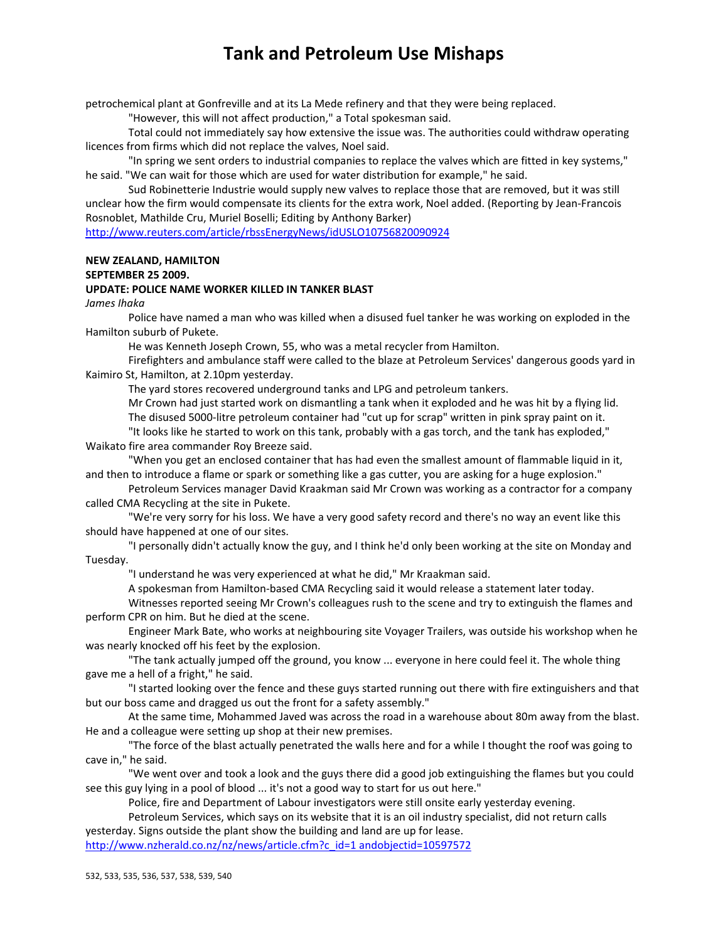petrochemical plant at Gonfreville and at its La Mede refinery and that they were being replaced.

"However, this will not affect production," a Total spokesman said.

Total could not immediately say how extensive the issue was. The authorities could withdraw operating licences from firms which did not replace the valves, Noel said.

"In spring we sent orders to industrial companies to replace the valves which are fitted in key systems," he said. "We can wait for those which are used for water distribution for example," he said.

Sud Robinetterie Industrie would supply new valves to replace those that are removed, but it was still unclear how the firm would compensate its clients for the extra work, Noel added. (Reporting by Jean‐Francois Rosnoblet, Mathilde Cru, Muriel Boselli; Editing by Anthony Barker)

http://www.reuters.com/article/rbssEnergyNews/idUSLO10756820090924

## **NEW ZEALAND, HAMILTON**

### **SEPTEMBER 25 2009.**

### **UPDATE: POLICE NAME WORKER KILLED IN TANKER BLAST**

*James Ihaka*

Police have named a man who was killed when a disused fuel tanker he was working on exploded in the Hamilton suburb of Pukete.

He was Kenneth Joseph Crown, 55, who was a metal recycler from Hamilton.

Firefighters and ambulance staff were called to the blaze at Petroleum Services' dangerous goods yard in Kaimiro St, Hamilton, at 2.10pm yesterday.

The yard stores recovered underground tanks and LPG and petroleum tankers.

Mr Crown had just started work on dismantling a tank when it exploded and he was hit by a flying lid.

The disused 5000‐litre petroleum container had "cut up for scrap" written in pink spray paint on it. "It looks like he started to work on this tank, probably with a gas torch, and the tank has exploded,"

Waikato fire area commander Roy Breeze said.

"When you get an enclosed container that has had even the smallest amount of flammable liquid in it, and then to introduce a flame or spark or something like a gas cutter, you are asking for a huge explosion."

Petroleum Services manager David Kraakman said Mr Crown was working as a contractor for a company called CMA Recycling at the site in Pukete.

"We're very sorry for his loss. We have a very good safety record and there's no way an event like this should have happened at one of our sites.

"I personally didn't actually know the guy, and I think he'd only been working at the site on Monday and Tuesday.

"I understand he was very experienced at what he did," Mr Kraakman said.

A spokesman from Hamilton‐based CMA Recycling said it would release a statement later today.

Witnesses reported seeing Mr Crown's colleagues rush to the scene and try to extinguish the flames and perform CPR on him. But he died at the scene.

Engineer Mark Bate, who works at neighbouring site Voyager Trailers, was outside his workshop when he was nearly knocked off his feet by the explosion.

"The tank actually jumped off the ground, you know ... everyone in here could feel it. The whole thing gave me a hell of a fright," he said.

"I started looking over the fence and these guys started running out there with fire extinguishers and that but our boss came and dragged us out the front for a safety assembly."

At the same time, Mohammed Javed was across the road in a warehouse about 80m away from the blast. He and a colleague were setting up shop at their new premises.

"The force of the blast actually penetrated the walls here and for a while I thought the roof was going to cave in," he said.

"We went over and took a look and the guys there did a good job extinguishing the flames but you could see this guy lying in a pool of blood ... it's not a good way to start for us out here."

Police, fire and Department of Labour investigators were still onsite early yesterday evening.

Petroleum Services, which says on its website that it is an oil industry specialist, did not return calls yesterday. Signs outside the plant show the building and land are up for lease.

http://www.nzherald.co.nz/nz/news/article.cfm?c\_id=1 andobjectid=10597572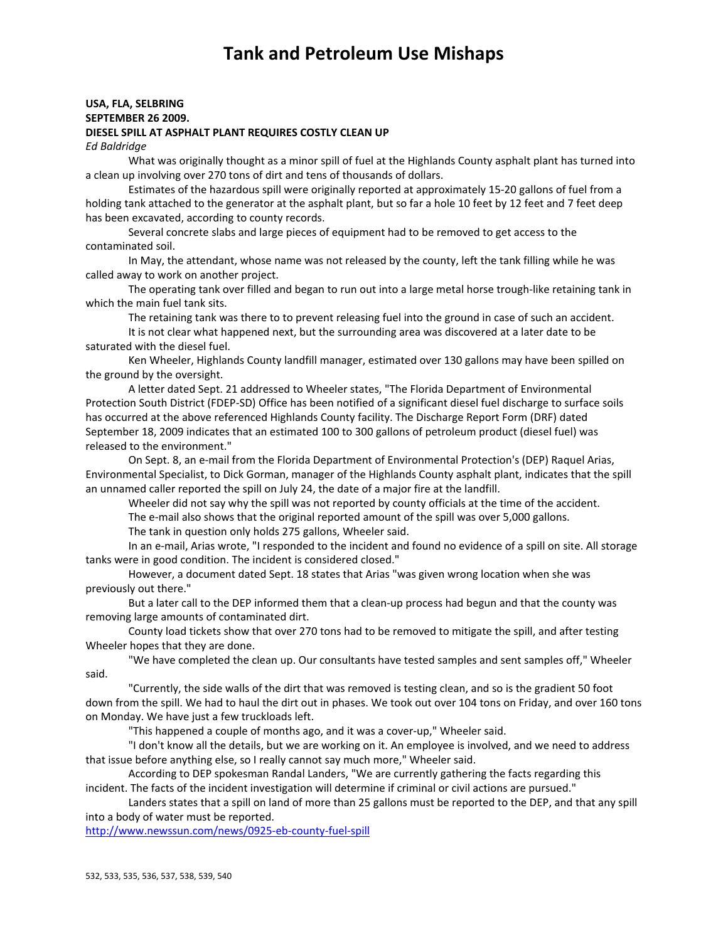### **USA, FLA, SELBRING SEPTEMBER 26 2009.**

#### **DIESEL SPILL AT ASPHALT PLANT REQUIRES COSTLY CLEAN UP**

*Ed Baldridge*

What was originally thought as a minor spill of fuel at the Highlands County asphalt plant has turned into a clean up involving over 270 tons of dirt and tens of thousands of dollars.

Estimates of the hazardous spill were originally reported at approximately 15‐20 gallons of fuel from a holding tank attached to the generator at the asphalt plant, but so far a hole 10 feet by 12 feet and 7 feet deep has been excavated, according to county records.

Several concrete slabs and large pieces of equipment had to be removed to get access to the contaminated soil.

In May, the attendant, whose name was not released by the county, left the tank filling while he was called away to work on another project.

The operating tank over filled and began to run out into a large metal horse trough‐like retaining tank in which the main fuel tank sits.

The retaining tank was there to to prevent releasing fuel into the ground in case of such an accident.

It is not clear what happened next, but the surrounding area was discovered at a later date to be saturated with the diesel fuel.

Ken Wheeler, Highlands County landfill manager, estimated over 130 gallons may have been spilled on the ground by the oversight.

A letter dated Sept. 21 addressed to Wheeler states, "The Florida Department of Environmental Protection South District (FDEP‐SD) Office has been notified of a significant diesel fuel discharge to surface soils has occurred at the above referenced Highlands County facility. The Discharge Report Form (DRF) dated September 18, 2009 indicates that an estimated 100 to 300 gallons of petroleum product (diesel fuel) was released to the environment."

On Sept. 8, an e‐mail from the Florida Department of Environmental Protection's (DEP) Raquel Arias, Environmental Specialist, to Dick Gorman, manager of the Highlands County asphalt plant, indicates that the spill an unnamed caller reported the spill on July 24, the date of a major fire at the landfill.

Wheeler did not say why the spill was not reported by county officials at the time of the accident.

The e-mail also shows that the original reported amount of the spill was over 5,000 gallons.

The tank in question only holds 275 gallons, Wheeler said.

In an e-mail, Arias wrote, "I responded to the incident and found no evidence of a spill on site. All storage tanks were in good condition. The incident is considered closed."

However, a document dated Sept. 18 states that Arias "was given wrong location when she was previously out there."

But a later call to the DEP informed them that a clean‐up process had begun and that the county was removing large amounts of contaminated dirt.

County load tickets show that over 270 tons had to be removed to mitigate the spill, and after testing Wheeler hopes that they are done.

"We have completed the clean up. Our consultants have tested samples and sent samples off," Wheeler said.

"Currently, the side walls of the dirt that was removed is testing clean, and so is the gradient 50 foot down from the spill. We had to haul the dirt out in phases. We took out over 104 tons on Friday, and over 160 tons on Monday. We have just a few truckloads left.

"This happened a couple of months ago, and it was a cover‐up," Wheeler said.

"I don't know all the details, but we are working on it. An employee is involved, and we need to address that issue before anything else, so I really cannot say much more," Wheeler said.

According to DEP spokesman Randal Landers, "We are currently gathering the facts regarding this incident. The facts of the incident investigation will determine if criminal or civil actions are pursued."

Landers states that a spill on land of more than 25 gallons must be reported to the DEP, and that any spill into a body of water must be reported.

http://www.newssun.com/news/0925‐eb‐county‐fuel‐spill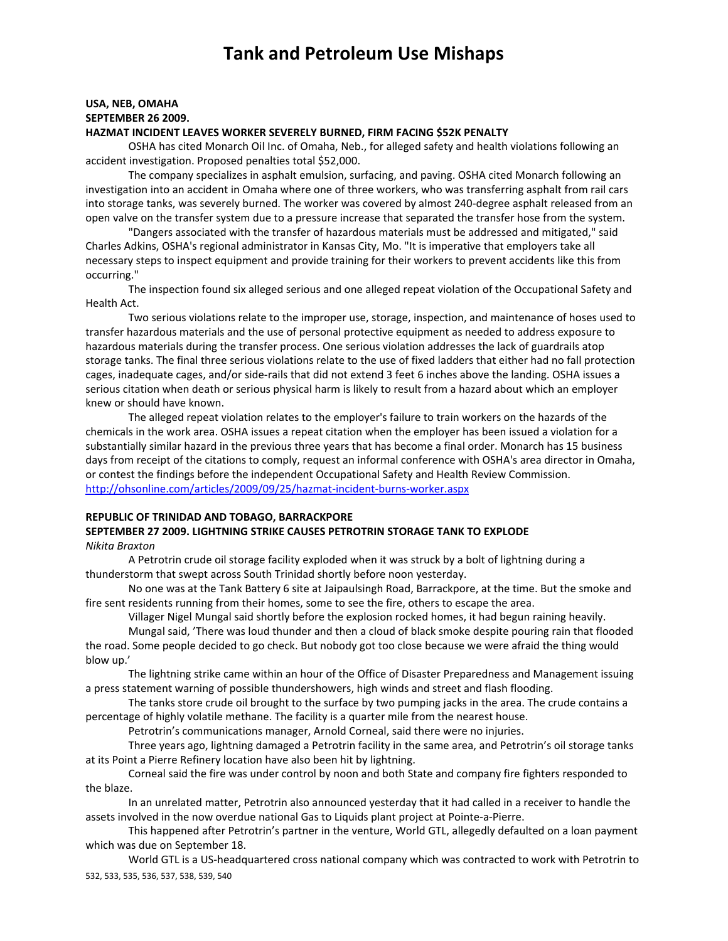# **USA, NEB, OMAHA SEPTEMBER 26 2009.**

### **HAZMAT INCIDENT LEAVES WORKER SEVERELY BURNED, FIRM FACING \$52K PENALTY**

OSHA has cited Monarch Oil Inc. of Omaha, Neb., for alleged safety and health violations following an accident investigation. Proposed penalties total \$52,000.

The company specializes in asphalt emulsion, surfacing, and paving. OSHA cited Monarch following an investigation into an accident in Omaha where one of three workers, who was transferring asphalt from rail cars into storage tanks, was severely burned. The worker was covered by almost 240‐degree asphalt released from an open valve on the transfer system due to a pressure increase that separated the transfer hose from the system.

"Dangers associated with the transfer of hazardous materials must be addressed and mitigated," said Charles Adkins, OSHA's regional administrator in Kansas City, Mo. "It is imperative that employers take all necessary steps to inspect equipment and provide training for their workers to prevent accidents like this from occurring."

The inspection found six alleged serious and one alleged repeat violation of the Occupational Safety and Health Act.

Two serious violations relate to the improper use, storage, inspection, and maintenance of hoses used to transfer hazardous materials and the use of personal protective equipment as needed to address exposure to hazardous materials during the transfer process. One serious violation addresses the lack of guardrails atop storage tanks. The final three serious violations relate to the use of fixed ladders that either had no fall protection cages, inadequate cages, and/or side‐rails that did not extend 3 feet 6 inches above the landing. OSHA issues a serious citation when death or serious physical harm is likely to result from a hazard about which an employer knew or should have known.

The alleged repeat violation relates to the employer's failure to train workers on the hazards of the chemicals in the work area. OSHA issues a repeat citation when the employer has been issued a violation for a substantially similar hazard in the previous three years that has become a final order. Monarch has 15 business days from receipt of the citations to comply, request an informal conference with OSHA's area director in Omaha, or contest the findings before the independent Occupational Safety and Health Review Commission. http://ohsonline.com/articles/2009/09/25/hazmat‐incident‐burns‐worker.aspx

#### **REPUBLIC OF TRINIDAD AND TOBAGO, BARRACKPORE**

### **SEPTEMBER 27 2009. LIGHTNING STRIKE CAUSES PETROTRIN STORAGE TANK TO EXPLODE** *Nikita Braxton*

A Petrotrin crude oil storage facility exploded when it was struck by a bolt of lightning during a thunderstorm that swept across South Trinidad shortly before noon yesterday.

No one was at the Tank Battery 6 site at Jaipaulsingh Road, Barrackpore, at the time. But the smoke and fire sent residents running from their homes, some to see the fire, others to escape the area.

Villager Nigel Mungal said shortly before the explosion rocked homes, it had begun raining heavily.

Mungal said, 'There was loud thunder and then a cloud of black smoke despite pouring rain that flooded the road. Some people decided to go check. But nobody got too close because we were afraid the thing would blow up.'

The lightning strike came within an hour of the Office of Disaster Preparedness and Management issuing a press statement warning of possible thundershowers, high winds and street and flash flooding.

The tanks store crude oil brought to the surface by two pumping jacks in the area. The crude contains a percentage of highly volatile methane. The facility is a quarter mile from the nearest house.

Petrotrin's communications manager, Arnold Corneal, said there were no injuries.

Three years ago, lightning damaged a Petrotrin facility in the same area, and Petrotrin's oil storage tanks at its Point a Pierre Refinery location have also been hit by lightning.

Corneal said the fire was under control by noon and both State and company fire fighters responded to the blaze.

In an unrelated matter, Petrotrin also announced yesterday that it had called in a receiver to handle the assets involved in the now overdue national Gas to Liquids plant project at Pointe‐a‐Pierre.

This happened after Petrotrin's partner in the venture, World GTL, allegedly defaulted on a loan payment which was due on September 18.

532, 533, 535, 536, 537, 538, 539, 540 World GTL is a US‐headquartered cross national company which was contracted to work with Petrotrin to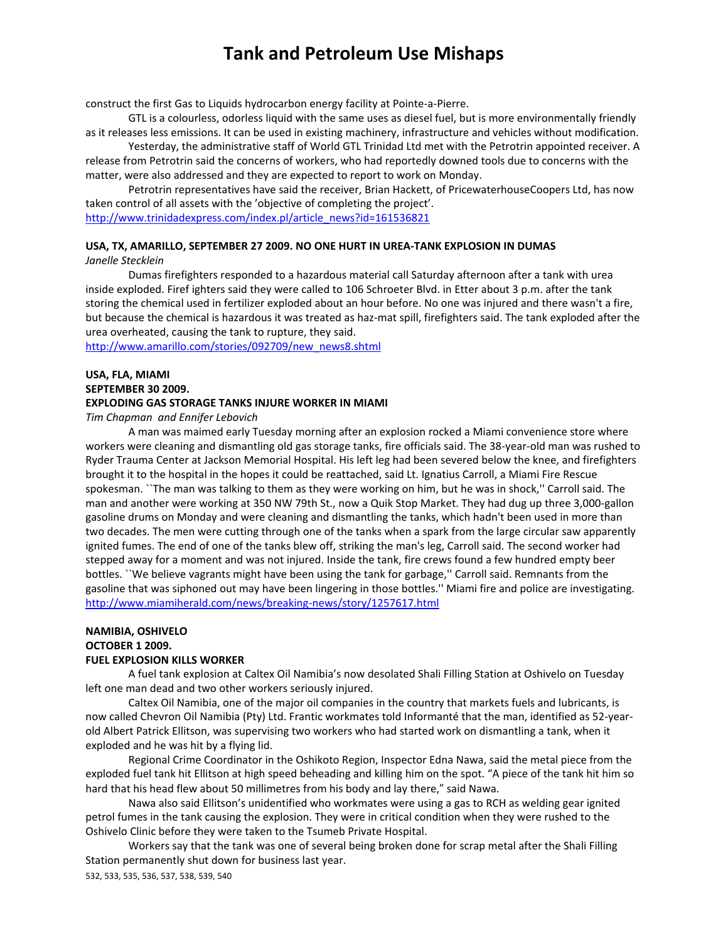construct the first Gas to Liquids hydrocarbon energy facility at Pointe‐a‐Pierre.

GTL is a colourless, odorless liquid with the same uses as diesel fuel, but is more environmentally friendly as it releases less emissions. It can be used in existing machinery, infrastructure and vehicles without modification.

Yesterday, the administrative staff of World GTL Trinidad Ltd met with the Petrotrin appointed receiver. A release from Petrotrin said the concerns of workers, who had reportedly downed tools due to concerns with the matter, were also addressed and they are expected to report to work on Monday.

Petrotrin representatives have said the receiver, Brian Hackett, of PricewaterhouseCoopers Ltd, has now taken control of all assets with the 'objective of completing the project'. http://www.trinidadexpress.com/index.pl/article\_news?id=161536821

# **USA, TX, AMARILLO, SEPTEMBER 27 2009. NO ONE HURT IN UREA‐TANK EXPLOSION IN DUMAS**

*Janelle Stecklein*

Dumas firefighters responded to a hazardous material call Saturday afternoon after a tank with urea inside exploded. Firef ighters said they were called to 106 Schroeter Blvd. in Etter about 3 p.m. after the tank storing the chemical used in fertilizer exploded about an hour before. No one was injured and there wasn't a fire, but because the chemical is hazardous it was treated as haz-mat spill, firefighters said. The tank exploded after the urea overheated, causing the tank to rupture, they said.

http://www.amarillo.com/stories/092709/new\_news8.shtml

### **USA, FLA, MIAMI SEPTEMBER 30 2009. EXPLODING GAS STORAGE TANKS INJURE WORKER IN MIAMI**

*Tim Chapman and Ennifer Lebovich*

A man was maimed early Tuesday morning after an explosion rocked a Miami convenience store where workers were cleaning and dismantling old gas storage tanks, fire officials said. The 38‐year‐old man was rushed to Ryder Trauma Center at Jackson Memorial Hospital. His left leg had been severed below the knee, and firefighters brought it to the hospital in the hopes it could be reattached, said Lt. Ignatius Carroll, a Miami Fire Rescue spokesman. ``The man was talking to them as they were working on him, but he was in shock,'' Carroll said. The man and another were working at 350 NW 79th St., now a Quik Stop Market. They had dug up three 3,000‐gallon gasoline drums on Monday and were cleaning and dismantling the tanks, which hadn't been used in more than two decades. The men were cutting through one of the tanks when a spark from the large circular saw apparently ignited fumes. The end of one of the tanks blew off, striking the man's leg, Carroll said. The second worker had stepped away for a moment and was not injured. Inside the tank, fire crews found a few hundred empty beer bottles. ``We believe vagrants might have been using the tank for garbage,'' Carroll said. Remnants from the gasoline that was siphoned out may have been lingering in those bottles.'' Miami fire and police are investigating. http://www.miamiherald.com/news/breaking‐news/story/1257617.html

### **NAMIBIA, OSHIVELO OCTOBER 1 2009. FUEL EXPLOSION KILLS WORKER**

A fuel tank explosion at Caltex Oil Namibia's now desolated Shali Filling Station at Oshivelo on Tuesday left one man dead and two other workers seriously injured.

Caltex Oil Namibia, one of the major oil companies in the country that markets fuels and lubricants, is now called Chevron Oil Namibia (Pty) Ltd. Frantic workmates told Informanté that the man, identified as 52‐year‐ old Albert Patrick Ellitson, was supervising two workers who had started work on dismantling a tank, when it exploded and he was hit by a flying lid.

Regional Crime Coordinator in the Oshikoto Region, Inspector Edna Nawa, said the metal piece from the exploded fuel tank hit Ellitson at high speed beheading and killing him on the spot. "A piece of the tank hit him so hard that his head flew about 50 millimetres from his body and lay there," said Nawa.

Nawa also said Ellitson's unidentified who workmates were using a gas to RCH as welding gear ignited petrol fumes in the tank causing the explosion. They were in critical condition when they were rushed to the Oshivelo Clinic before they were taken to the Tsumeb Private Hospital.

Workers say that the tank was one of several being broken done for scrap metal after the Shali Filling Station permanently shut down for business last year.

532, 533, 535, 536, 537, 538, 539, 540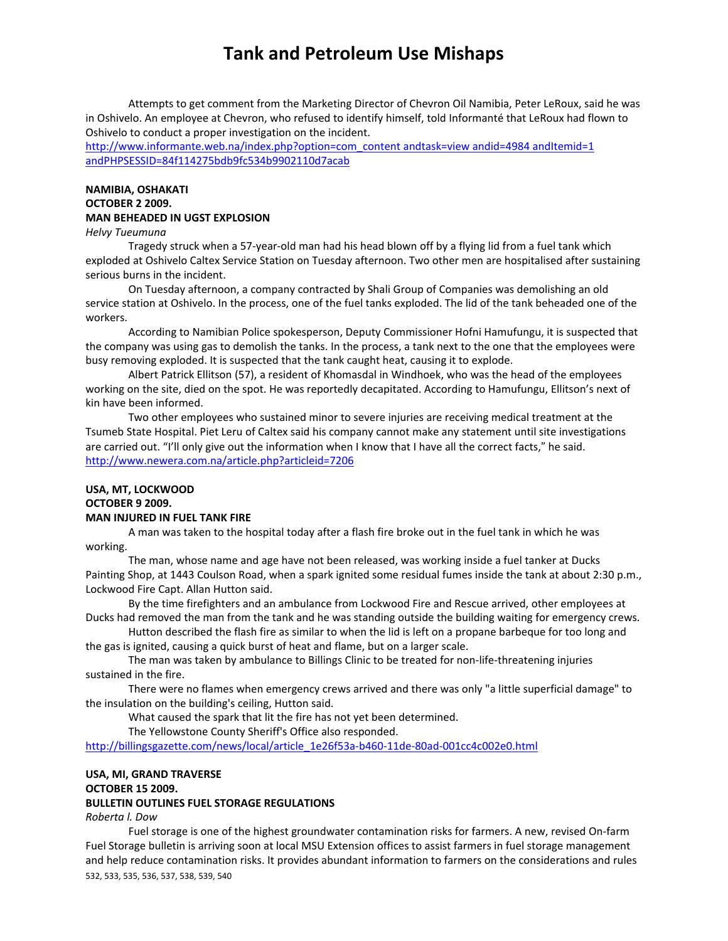Attempts to get comment from the Marketing Director of Chevron Oil Namibia, Peter LeRoux, said he was in Oshivelo. An employee at Chevron, who refused to identify himself, told Informanté that LeRoux had flown to Oshivelo to conduct a proper investigation on the incident.

http://www.informante.web.na/index.php?option=com\_content andtask=view andid=4984 andItemid=1 andPHPSESSID=84f114275bdb9fc534b9902110d7acab

### **NAMIBIA, OSHAKATI OCTOBER 2 2009. MAN BEHEADED IN UGST EXPLOSION**

#### *Helvy Tueumuna*

Tragedy struck when a 57‐year‐old man had his head blown off by a flying lid from a fuel tank which exploded at Oshivelo Caltex Service Station on Tuesday afternoon. Two other men are hospitalised after sustaining serious burns in the incident.

On Tuesday afternoon, a company contracted by Shali Group of Companies was demolishing an old service station at Oshivelo. In the process, one of the fuel tanks exploded. The lid of the tank beheaded one of the workers.

According to Namibian Police spokesperson, Deputy Commissioner Hofni Hamufungu, it is suspected that the company was using gas to demolish the tanks. In the process, a tank next to the one that the employees were busy removing exploded. It is suspected that the tank caught heat, causing it to explode.

Albert Patrick Ellitson (57), a resident of Khomasdal in Windhoek, who was the head of the employees working on the site, died on the spot. He was reportedly decapitated. According to Hamufungu, Ellitson's next of kin have been informed.

Two other employees who sustained minor to severe injuries are receiving medical treatment at the Tsumeb State Hospital. Piet Leru of Caltex said his company cannot make any statement until site investigations are carried out. "I'll only give out the information when I know that I have all the correct facts," he said. http://www.newera.com.na/article.php?articleid=7206

#### **USA, MT, LOCKWOOD OCTOBER 9 2009.**

#### **MAN INJURED IN FUEL TANK FIRE**

A man was taken to the hospital today after a flash fire broke out in the fuel tank in which he was working.

The man, whose name and age have not been released, was working inside a fuel tanker at Ducks Painting Shop, at 1443 Coulson Road, when a spark ignited some residual fumes inside the tank at about 2:30 p.m., Lockwood Fire Capt. Allan Hutton said.

By the time firefighters and an ambulance from Lockwood Fire and Rescue arrived, other employees at Ducks had removed the man from the tank and he was standing outside the building waiting for emergency crews.

Hutton described the flash fire as similar to when the lid is left on a propane barbeque for too long and the gas is ignited, causing a quick burst of heat and flame, but on a larger scale.

The man was taken by ambulance to Billings Clinic to be treated for non‐life‐threatening injuries sustained in the fire.

There were no flames when emergency crews arrived and there was only "a little superficial damage" to the insulation on the building's ceiling, Hutton said.

What caused the spark that lit the fire has not yet been determined.

The Yellowstone County Sheriff's Office also responded.

http://billingsgazette.com/news/local/article\_1e26f53a-b460-11de-80ad-001cc4c002e0.html

# **USA, MI, GRAND TRAVERSE OCTOBER 15 2009.**

## **BULLETIN OUTLINES FUEL STORAGE REGULATIONS**

*Roberta l. Dow*

532, 533, 535, 536, 537, 538, 539, 540 Fuel storage is one of the highest groundwater contamination risks for farmers. A new, revised On‐farm Fuel Storage bulletin is arriving soon at local MSU Extension offices to assist farmers in fuel storage management and help reduce contamination risks. It provides abundant information to farmers on the considerations and rules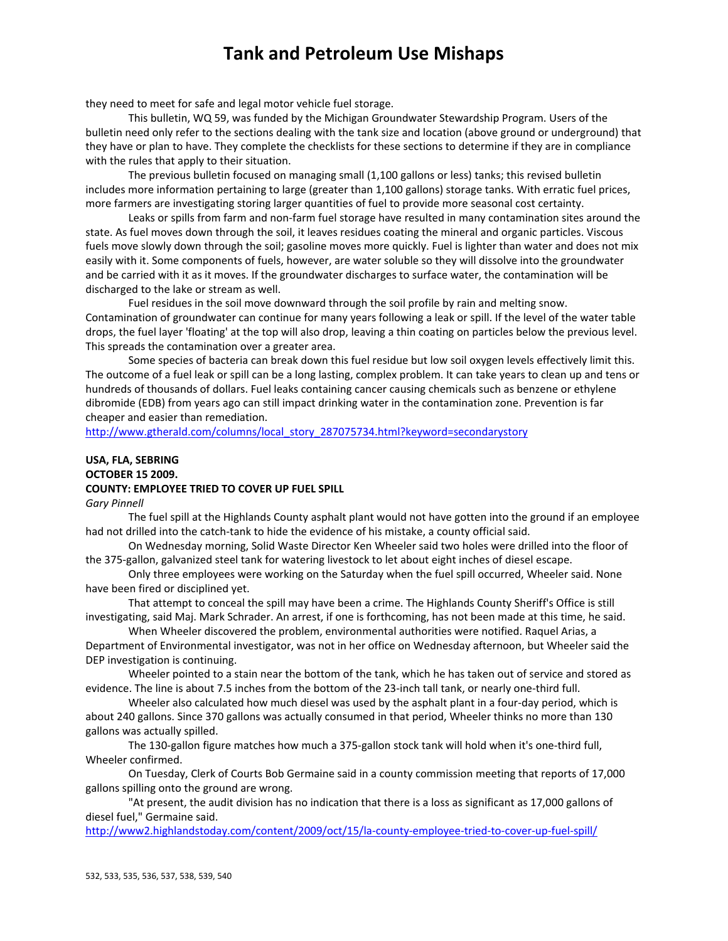they need to meet for safe and legal motor vehicle fuel storage.

This bulletin, WQ 59, was funded by the Michigan Groundwater Stewardship Program. Users of the bulletin need only refer to the sections dealing with the tank size and location (above ground or underground) that they have or plan to have. They complete the checklists for these sections to determine if they are in compliance with the rules that apply to their situation.

The previous bulletin focused on managing small (1,100 gallons or less) tanks; this revised bulletin includes more information pertaining to large (greater than 1,100 gallons) storage tanks. With erratic fuel prices, more farmers are investigating storing larger quantities of fuel to provide more seasonal cost certainty.

Leaks or spills from farm and non‐farm fuel storage have resulted in many contamination sites around the state. As fuel moves down through the soil, it leaves residues coating the mineral and organic particles. Viscous fuels move slowly down through the soil; gasoline moves more quickly. Fuel is lighter than water and does not mix easily with it. Some components of fuels, however, are water soluble so they will dissolve into the groundwater and be carried with it as it moves. If the groundwater discharges to surface water, the contamination will be discharged to the lake or stream as well.

Fuel residues in the soil move downward through the soil profile by rain and melting snow. Contamination of groundwater can continue for many years following a leak or spill. If the level of the water table drops, the fuel layer 'floating' at the top will also drop, leaving a thin coating on particles below the previous level. This spreads the contamination over a greater area.

Some species of bacteria can break down this fuel residue but low soil oxygen levels effectively limit this. The outcome of a fuel leak or spill can be a long lasting, complex problem. It can take years to clean up and tens or hundreds of thousands of dollars. Fuel leaks containing cancer causing chemicals such as benzene or ethylene dibromide (EDB) from years ago can still impact drinking water in the contamination zone. Prevention is far cheaper and easier than remediation.

http://www.gtherald.com/columns/local\_story\_287075734.html?keyword=secondarystory

## **USA, FLA, SEBRING OCTOBER 15 2009. COUNTY: EMPLOYEE TRIED TO COVER UP FUEL SPILL**

*Gary Pinnell*

The fuel spill at the Highlands County asphalt plant would not have gotten into the ground if an employee had not drilled into the catch-tank to hide the evidence of his mistake, a county official said.

On Wednesday morning, Solid Waste Director Ken Wheeler said two holes were drilled into the floor of the 375‐gallon, galvanized steel tank for watering livestock to let about eight inches of diesel escape.

Only three employees were working on the Saturday when the fuel spill occurred, Wheeler said. None have been fired or disciplined yet.

That attempt to conceal the spill may have been a crime. The Highlands County Sheriff's Office is still investigating, said Maj. Mark Schrader. An arrest, if one is forthcoming, has not been made at this time, he said.

When Wheeler discovered the problem, environmental authorities were notified. Raquel Arias, a Department of Environmental investigator, was not in her office on Wednesday afternoon, but Wheeler said the DEP investigation is continuing.

Wheeler pointed to a stain near the bottom of the tank, which he has taken out of service and stored as evidence. The line is about 7.5 inches from the bottom of the 23‐inch tall tank, or nearly one‐third full.

Wheeler also calculated how much diesel was used by the asphalt plant in a four‐day period, which is about 240 gallons. Since 370 gallons was actually consumed in that period, Wheeler thinks no more than 130 gallons was actually spilled.

The 130‐gallon figure matches how much a 375‐gallon stock tank will hold when it's one‐third full, Wheeler confirmed.

On Tuesday, Clerk of Courts Bob Germaine said in a county commission meeting that reports of 17,000 gallons spilling onto the ground are wrong.

"At present, the audit division has no indication that there is a loss as significant as 17,000 gallons of diesel fuel," Germaine said.

http://www2.highlandstoday.com/content/2009/oct/15/la‐county‐employee‐tried‐to‐cover‐up‐fuel‐spill/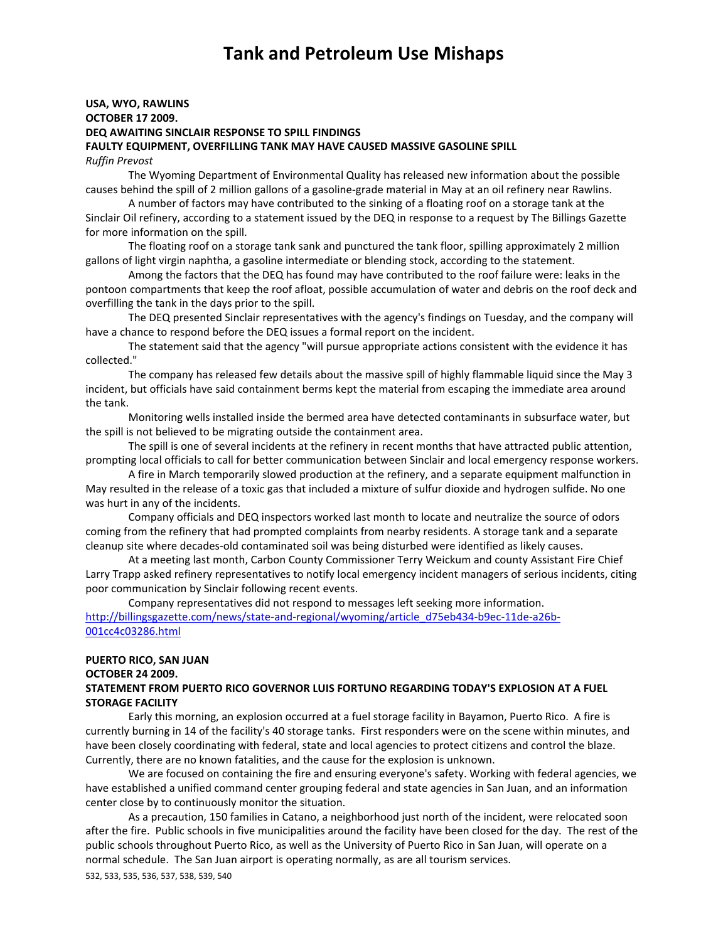### **USA, WYO, RAWLINS OCTOBER 17 2009. DEQ AWAITING SINCLAIR RESPONSE TO SPILL FINDINGS FAULTY EQUIPMENT, OVERFILLING TANK MAY HAVE CAUSED MASSIVE GASOLINE SPILL** *Ruffin Prevost*

The Wyoming Department of Environmental Quality has released new information about the possible causes behind the spill of 2 million gallons of a gasoline‐grade material in May at an oil refinery near Rawlins.

A number of factors may have contributed to the sinking of a floating roof on a storage tank at the Sinclair Oil refinery, according to a statement issued by the DEQ in response to a request by The Billings Gazette for more information on the spill.

The floating roof on a storage tank sank and punctured the tank floor, spilling approximately 2 million gallons of light virgin naphtha, a gasoline intermediate or blending stock, according to the statement.

Among the factors that the DEQ has found may have contributed to the roof failure were: leaks in the pontoon compartments that keep the roof afloat, possible accumulation of water and debris on the roof deck and overfilling the tank in the days prior to the spill.

The DEQ presented Sinclair representatives with the agency's findings on Tuesday, and the company will have a chance to respond before the DEQ issues a formal report on the incident.

The statement said that the agency "will pursue appropriate actions consistent with the evidence it has collected."

The company has released few details about the massive spill of highly flammable liquid since the May 3 incident, but officials have said containment berms kept the material from escaping the immediate area around the tank.

Monitoring wells installed inside the bermed area have detected contaminants in subsurface water, but the spill is not believed to be migrating outside the containment area.

The spill is one of several incidents at the refinery in recent months that have attracted public attention, prompting local officials to call for better communication between Sinclair and local emergency response workers.

A fire in March temporarily slowed production at the refinery, and a separate equipment malfunction in May resulted in the release of a toxic gas that included a mixture of sulfur dioxide and hydrogen sulfide. No one was hurt in any of the incidents.

Company officials and DEQ inspectors worked last month to locate and neutralize the source of odors coming from the refinery that had prompted complaints from nearby residents. A storage tank and a separate cleanup site where decades‐old contaminated soil was being disturbed were identified as likely causes.

At a meeting last month, Carbon County Commissioner Terry Weickum and county Assistant Fire Chief Larry Trapp asked refinery representatives to notify local emergency incident managers of serious incidents, citing poor communication by Sinclair following recent events.

Company representatives did not respond to messages left seeking more information. http://billingsgazette.com/news/state-and-regional/wyoming/article\_d75eb434-b9ec-11de-a26b-001cc4c03286.html

#### **PUERTO RICO, SAN JUAN**

#### **OCTOBER 24 2009.**

### **STATEMENT FROM PUERTO RICO GOVERNOR LUIS FORTUNO REGARDING TODAY'S EXPLOSION AT A FUEL STORAGE FACILITY**

Early this morning, an explosion occurred at a fuel storage facility in Bayamon, Puerto Rico. A fire is currently burning in 14 of the facility's 40 storage tanks. First responders were on the scene within minutes, and have been closely coordinating with federal, state and local agencies to protect citizens and control the blaze. Currently, there are no known fatalities, and the cause for the explosion is unknown.

We are focused on containing the fire and ensuring everyone's safety. Working with federal agencies, we have established a unified command center grouping federal and state agencies in San Juan, and an information center close by to continuously monitor the situation.

532, 533, 535, 536, 537, 538, 539, 540 As a precaution, 150 families in Catano, a neighborhood just north of the incident, were relocated soon after the fire. Public schools in five municipalities around the facility have been closed for the day. The rest of the public schools throughout Puerto Rico, as well as the University of Puerto Rico in San Juan, will operate on a normal schedule. The San Juan airport is operating normally, as are all tourism services.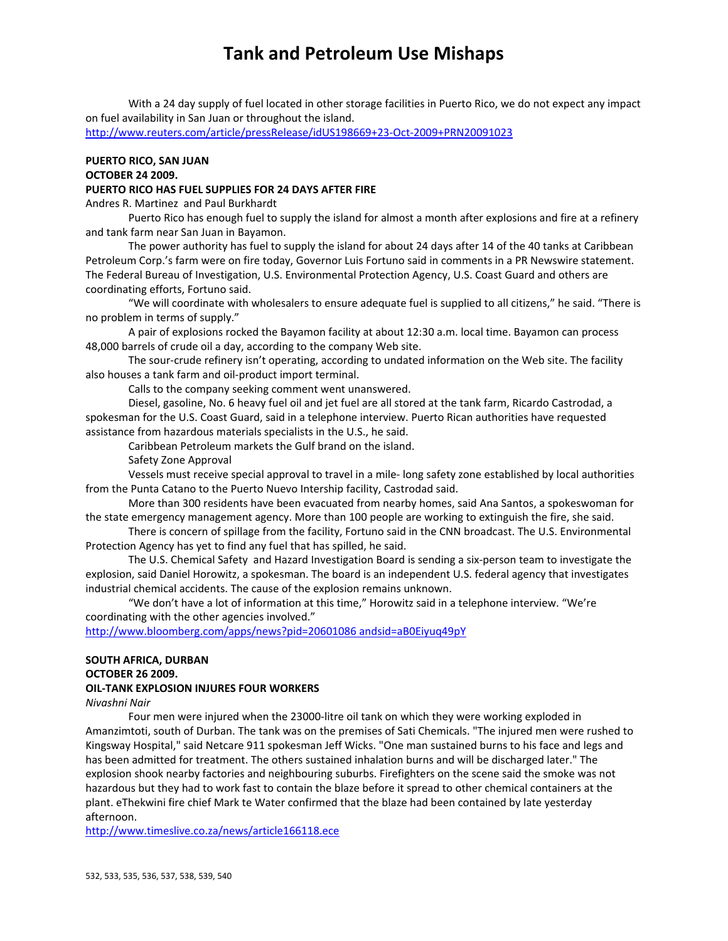With a 24 day supply of fuel located in other storage facilities in Puerto Rico, we do not expect any impact on fuel availability in San Juan or throughout the island.

http://www.reuters.com/article/pressRelease/idUS198669+23‐Oct‐2009+PRN20091023

## **PUERTO RICO, SAN JUAN OCTOBER 24 2009. PUERTO RICO HAS FUEL SUPPLIES FOR 24 DAYS AFTER FIRE**

Andres R. Martinez and Paul Burkhardt

Puerto Rico has enough fuel to supply the island for almost a month after explosions and fire at a refinery and tank farm near San Juan in Bayamon.

The power authority has fuel to supply the island for about 24 days after 14 of the 40 tanks at Caribbean Petroleum Corp.'s farm were on fire today, Governor Luis Fortuno said in comments in a PR Newswire statement. The Federal Bureau of Investigation, U.S. Environmental Protection Agency, U.S. Coast Guard and others are coordinating efforts, Fortuno said.

"We will coordinate with wholesalers to ensure adequate fuel is supplied to all citizens," he said. "There is no problem in terms of supply."

A pair of explosions rocked the Bayamon facility at about 12:30 a.m. local time. Bayamon can process 48,000 barrels of crude oil a day, according to the company Web site.

The sour‐crude refinery isn't operating, according to undated information on the Web site. The facility also houses a tank farm and oil‐product import terminal.

Calls to the company seeking comment went unanswered.

Diesel, gasoline, No. 6 heavy fuel oil and jet fuel are all stored at the tank farm, Ricardo Castrodad, a spokesman for the U.S. Coast Guard, said in a telephone interview. Puerto Rican authorities have requested assistance from hazardous materials specialists in the U.S., he said.

Caribbean Petroleum markets the Gulf brand on the island.

Safety Zone Approval

Vessels must receive special approval to travel in a mile‐ long safety zone established by local authorities from the Punta Catano to the Puerto Nuevo Intership facility, Castrodad said.

More than 300 residents have been evacuated from nearby homes, said Ana Santos, a spokeswoman for the state emergency management agency. More than 100 people are working to extinguish the fire, she said.

There is concern of spillage from the facility, Fortuno said in the CNN broadcast. The U.S. Environmental Protection Agency has yet to find any fuel that has spilled, he said.

The U.S. Chemical Safety and Hazard Investigation Board is sending a six‐person team to investigate the explosion, said Daniel Horowitz, a spokesman. The board is an independent U.S. federal agency that investigates industrial chemical accidents. The cause of the explosion remains unknown.

"We don't have a lot of information at this time," Horowitz said in a telephone interview. "We're coordinating with the other agencies involved."

http://www.bloomberg.com/apps/news?pid=20601086 andsid=aB0Eiyuq49pY

# **SOUTH AFRICA, DURBAN**

# **OCTOBER 26 2009.**

# **OIL‐TANK EXPLOSION INJURES FOUR WORKERS**

## *Nivashni Nair*

Four men were injured when the 23000‐litre oil tank on which they were working exploded in Amanzimtoti, south of Durban. The tank was on the premises of Sati Chemicals. "The injured men were rushed to Kingsway Hospital," said Netcare 911 spokesman Jeff Wicks. "One man sustained burns to his face and legs and has been admitted for treatment. The others sustained inhalation burns and will be discharged later." The explosion shook nearby factories and neighbouring suburbs. Firefighters on the scene said the smoke was not hazardous but they had to work fast to contain the blaze before it spread to other chemical containers at the plant. eThekwini fire chief Mark te Water confirmed that the blaze had been contained by late yesterday afternoon.

http://www.timeslive.co.za/news/article166118.ece